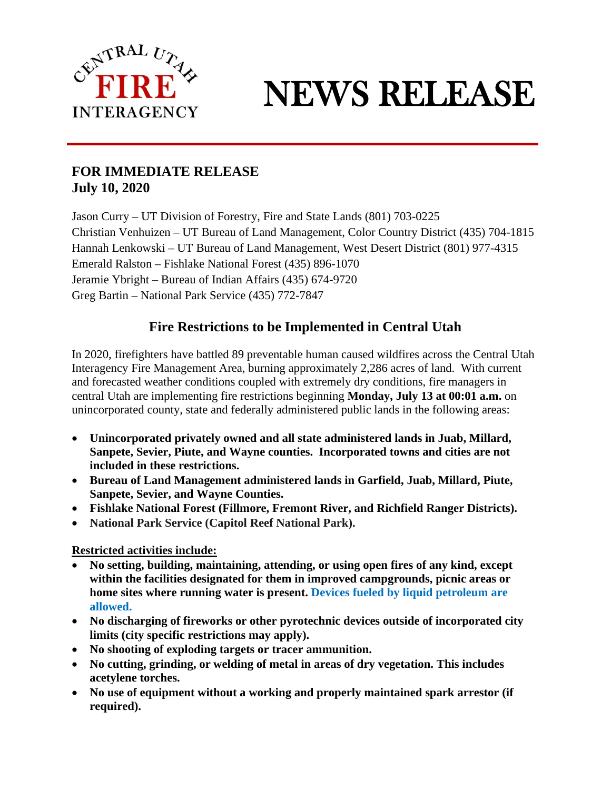

## NEWS RELEASE

j

## **FOR IMMEDIATE RELEASE July 10, 2020**

Jason Curry – UT Division of Forestry, Fire and State Lands (801) 703-0225 Christian Venhuizen – UT Bureau of Land Management, Color Country District (435) 704-1815 Hannah Lenkowski – UT Bureau of Land Management, West Desert District (801) 977-4315 Emerald Ralston – Fishlake National Forest (435) 896-1070 Jeramie Ybright – Bureau of Indian Affairs (435) 674-9720 Greg Bartin – National Park Service (435) 772-7847

## **Fire Restrictions to be Implemented in Central Utah**

In 2020, firefighters have battled 89 preventable human caused wildfires across the Central Utah Interagency Fire Management Area, burning approximately 2,286 acres of land. With current and forecasted weather conditions coupled with extremely dry conditions, fire managers in central Utah are implementing fire restrictions beginning **Monday, July 13 at 00:01 a.m.** on unincorporated county, state and federally administered public lands in the following areas:

- **Unincorporated privately owned and all state administered lands in Juab, Millard, Sanpete, Sevier, Piute, and Wayne counties. Incorporated towns and cities are not included in these restrictions.**
- **Bureau of Land Management administered lands in Garfield, Juab, Millard, Piute, Sanpete, Sevier, and Wayne Counties.**
- **Fishlake National Forest (Fillmore, Fremont River, and Richfield Ranger Districts).**
- **National Park Service (Capitol Reef National Park).**

## **Restricted activities include:**

- **No setting, building, maintaining, attending, or using open fires of any kind, except within the facilities designated for them in improved campgrounds, picnic areas or home sites where running water is present. Devices fueled by liquid petroleum are allowed.**
- **No discharging of fireworks or other pyrotechnic devices outside of incorporated city limits (city specific restrictions may apply).**
- **No shooting of exploding targets or tracer ammunition.**
- **No cutting, grinding, or welding of metal in areas of dry vegetation. This includes acetylene torches.**
- **No use of equipment without a working and properly maintained spark arrestor (if required).**